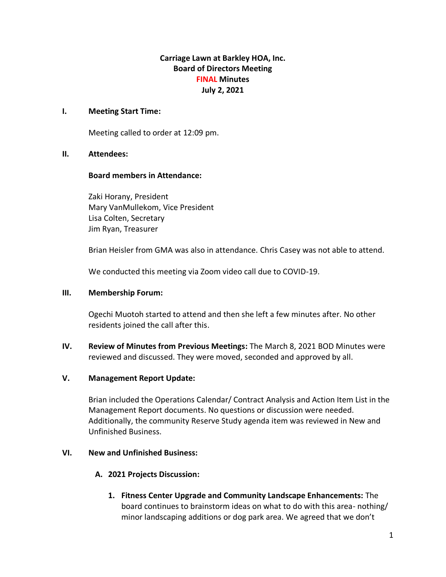# **Carriage Lawn at Barkley HOA, Inc. Board of Directors Meeting FINAL Minutes July 2, 2021**

### **I. Meeting Start Time:**

Meeting called to order at 12:09 pm.

#### **II. Attendees:**

#### **Board members in Attendance:**

Zaki Horany, President Mary VanMullekom, Vice President Lisa Colten, Secretary Jim Ryan, Treasurer

Brian Heisler from GMA was also in attendance. Chris Casey was not able to attend.

We conducted this meeting via Zoom video call due to COVID-19.

#### **III. Membership Forum:**

Ogechi Muotoh started to attend and then she left a few minutes after. No other residents joined the call after this.

**IV. Review of Minutes from Previous Meetings:** The March 8, 2021 BOD Minutes were reviewed and discussed. They were moved, seconded and approved by all.

# **V. Management Report Update:**

Brian included the Operations Calendar/ Contract Analysis and Action Item List in the Management Report documents. No questions or discussion were needed. Additionally, the community Reserve Study agenda item was reviewed in New and Unfinished Business.

# **VI. New and Unfinished Business:**

# **A. 2021 Projects Discussion:**

**1. Fitness Center Upgrade and Community Landscape Enhancements:** The board continues to brainstorm ideas on what to do with this area- nothing/ minor landscaping additions or dog park area. We agreed that we don't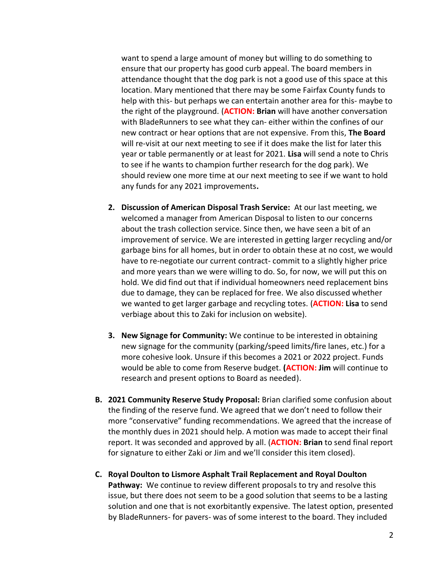want to spend a large amount of money but willing to do something to ensure that our property has good curb appeal. The board members in attendance thought that the dog park is not a good use of this space at this location. Mary mentioned that there may be some Fairfax County funds to help with this- but perhaps we can entertain another area for this- maybe to the right of the playground. (**ACTION: Brian** will have another conversation with BladeRunners to see what they can- either within the confines of our new contract or hear options that are not expensive. From this, **The Board** will re-visit at our next meeting to see if it does make the list for later this year or table permanently or at least for 2021. **Lisa** will send a note to Chris to see if he wants to champion further research for the dog park). We should review one more time at our next meeting to see if we want to hold any funds for any 2021 improvements**.**

- **2. Discussion of American Disposal Trash Service:** At our last meeting, we welcomed a manager from American Disposal to listen to our concerns about the trash collection service. Since then, we have seen a bit of an improvement of service. We are interested in getting larger recycling and/or garbage bins for all homes, but in order to obtain these at no cost, we would have to re-negotiate our current contract- commit to a slightly higher price and more years than we were willing to do. So, for now, we will put this on hold. We did find out that if individual homeowners need replacement bins due to damage, they can be replaced for free. We also discussed whether we wanted to get larger garbage and recycling totes. (**ACTION: Lisa** to send verbiage about this to Zaki for inclusion on website).
- **3. New Signage for Community:** We continue to be interested in obtaining new signage for the community (parking/speed limits/fire lanes, etc.) for a more cohesive look. Unsure if this becomes a 2021 or 2022 project. Funds would be able to come from Reserve budget. **(ACTION: Jim** will continue to research and present options to Board as needed).
- **B. 2021 Community Reserve Study Proposal:** Brian clarified some confusion about the finding of the reserve fund. We agreed that we don't need to follow their more "conservative" funding recommendations. We agreed that the increase of the monthly dues in 2021 should help. A motion was made to accept their final report. It was seconded and approved by all. (**ACTION: Brian** to send final report for signature to either Zaki or Jim and we'll consider this item closed).
- **C. Royal Doulton to Lismore Asphalt Trail Replacement and Royal Doulton Pathway:** We continue to review different proposals to try and resolve this issue, but there does not seem to be a good solution that seems to be a lasting solution and one that is not exorbitantly expensive. The latest option, presented by BladeRunners- for pavers- was of some interest to the board. They included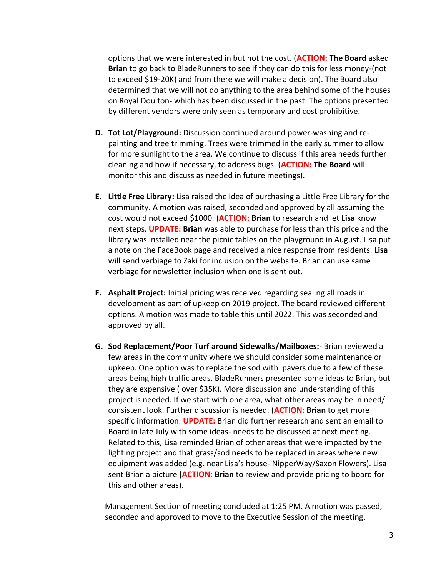options that we were interested in but not the cost. (**ACTION: The Board** asked **Brian** to go back to BladeRunners to see if they can do this for less money-(not to exceed \$19-20K) and from there we will make a decision). The Board also determined that we will not do anything to the area behind some of the houses on Royal Doulton- which has been discussed in the past. The options presented by different vendors were only seen as temporary and cost prohibitive.

- **D. Tot Lot/Playground:** Discussion continued around power-washing and repainting and tree trimming. Trees were trimmed in the early summer to allow for more sunlight to the area. We continue to discuss if this area needs further cleaning and how if necessary, to address bugs. (**ACTION: The Board** will monitor this and discuss as needed in future meetings).
- **E. Little Free Library:** Lisa raised the idea of purchasing a Little Free Library for the community. A motion was raised, seconded and approved by all assuming the cost would not exceed \$1000. (**ACTION: Brian** to research and let **Lisa** know next steps. **UPDATE: Brian** was able to purchase for less than this price and the library was installed near the picnic tables on the playground in August. Lisa put a note on the FaceBook page and received a nice response from residents. **Lisa**  will send verbiage to Zaki for inclusion on the website. Brian can use same verbiage for newsletter inclusion when one is sent out.
- **F. Asphalt Project:** Initial pricing was received regarding sealing all roads in development as part of upkeep on 2019 project. The board reviewed different options. A motion was made to table this until 2022. This was seconded and approved by all.
- **G. Sod Replacement/Poor Turf around Sidewalks/Mailboxes:** Brian reviewed a few areas in the community where we should consider some maintenance or upkeep. One option was to replace the sod with pavers due to a few of these areas being high traffic areas. BladeRunners presented some ideas to Brian, but they are expensive ( over \$35K). More discussion and understanding of this project is needed. If we start with one area, what other areas may be in need/ consistent look. Further discussion is needed. (**ACTION: Brian** to get more specific information. **UPDATE:** Brian did further research and sent an email to Board in late July with some ideas- needs to be discussed at next meeting. Related to this, Lisa reminded Brian of other areas that were impacted by the lighting project and that grass/sod needs to be replaced in areas where new equipment was added (e.g. near Lisa's house- NipperWay/Saxon Flowers). Lisa sent Brian a picture **(ACTION: Brian** to review and provide pricing to board for this and other areas).

Management Section of meeting concluded at 1:25 PM. A motion was passed, seconded and approved to move to the Executive Session of the meeting.